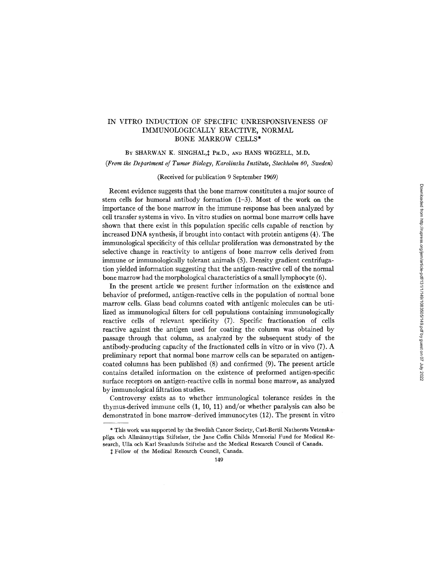# IN VITRO INDUCTION OF SPECIFIC UNRESPONSIVENESS OF IMMUNOLOGICALLY REACTIVE, NORMAL BONE MARROW CELLS\*

BY SHARWAN K. SINGHAL,  $\ddagger$  PH.D., AND HANS WIGZELL, M.D.

*(From the Department of Tumor Biology, Karolinska Institute, Stockholm 60, Sweden)* 

#### (Received for publication 9 September 1969)

Recent evidence suggests that the bone marrow constitutes a major source of stem cells for humoral antibody formation  $(1-3)$ . Most of the work on the importance of the bone marrow in the immune response has been analyzed by cell transfer systems in vivo. In vitro studies on normal bone marrow cells have shown that there exist in this population specific cells capable of reaction by increased DNA synthesis, if brought into contact with protein antigens (4). The immunological specificity of this cellular proliferation was demonstrated by the selective change in reactivity to antigens of bone marrow cells derived from immune or immunologically tolerant animals (5). Density gradient centrifugation yielded information suggesting that the antigen-reactive cell of the normal bone marrow had the morphological characteristics of a small lymphocyte (6).

In the present article we present further information on the existence and behavior of preformed, antigen-reactive cells in the population of normal bone marrow cells. Glass bead columns coated with antigenic molecules can be utilized as immunological filters for cell populations containing immunologically reactive cells of relevant specificity (7). Specific fractionation of cells reactive against the antigen used for coating the column was obtained by passage through that column, as analyzed by the subsequent study of the antibody-producing capacity of the fractionated cells in vitro or in vivo (7). A preliminary report that normal bone marrow cells can be separated on antigencoated columns has been published (8) and confirmed (9). The present article contains detailed information on the existence of preformed antigen-specific surface receptors on antigen-reactive cells in normal bone marrow, as analyzed by immunological filtration studies.

Controversy exists as to whether immunological tolerance resides in the thymus-derived immune cells (1, 10, 11) and/or whether paralysis can also be demonstrated in bone marrow-derived immunocytes (12). The present in vitro

<sup>\*</sup> This work was supported by the Swedish Cancer Society, Carl-Berfil Nathorsts Vetenskapliga och Allm~innytfiga Stiftelser, the Jane Coffin Childs Memorial Fund for Medical Research, Ulla och Karl Svanlunds Stiftelse and the Medical Research Council of Canada.

 $\ddagger$  Fellow of the Medical Research Council, Canada.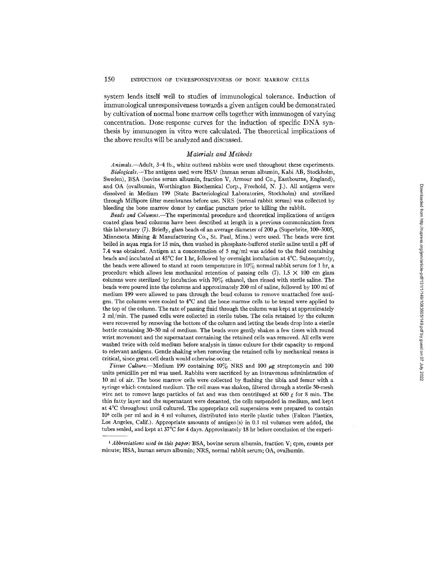system lends itself well to studies of immunological tolerance. Induction of immunological unresponsiveness towards a given antigen could be demonstrated by cultivation of normal bone marrow cells together with immunogen of varying concentration. Dose-response curves for the induction of specific DNA synthesis by immunogen in vitro were calculated. The theoretical implications of the above results will be analyzed and discussed.

#### *Materials and Methods*

*Animals.--Adult,* 3-4 lb., white outbred rabbits were used throughout these experiments. *Biologicals.*--The antigens used were HSA<sup>1</sup> (human serum albumin, Kabi AB, Stockholm, Sweden), BSA (bovine serum albumin, fraction V, Armour and Co., Eastbourne, England), and OA (ovalbumin, Worthington Biochemical Corp., Freehold, N. J.). All antigens were dissolved in Medium 199 (State Bacteriological Laboratories, Stockholm) and sterilized through Millipore filter membranes before use. NRS (normal rabbit serum) was collected by bleeding the bone marrow donor by cardiac puncture prior to killing the rabbit.

*Beads and CoIumns.--The* experimental procedure and theoretical implications of antigen coated glass bead columns have been described at length in a previous communication from this laboratory (7). Briefly, glass beads of an average diameter of 200  $\mu$  (Superbrite, 100–5005, Minnesota Mining & Manufacturing Co., St. Paul, Minn.) were used. The beads were first boiled in aqua regia for 15 min, then washed in phosphate-buffered sterile saline until a pH of 7.4 was obtained. Antigen at a concentration of 5 mg/ml was added to the fluid containing beads and incubated at 45°C for 1 hr, followed by overnight incubation at 4°C. Subsequently, the beads were allowed to stand at room temperature in 10% normal rabbit serum for 1 hr, a procedure which allows less mechanical retention of passing cells (7).  $1.5 \times 100$  cm glass columns were sterilized by incubation with 70% ethanol, then rinsed with sterile saline. The beads were poured into the columns and approximately 200 ml of saline, followed by 100 ml of medium 199 were allowed to pass through the bead column to remove unattached free antigen. The columns were cooled to 4°C and the bone marrow cells to be tested were applied to the top of the column. The rate of passing fluid through the column was kept at approximately 2 ml/min. The passed cells were collected in sterile tubes. The cells retained by the column were recovered by removing the bottom of the column and letting the beads drop into a sterile bottle containing 30-50 ml of medium. The beads were gently shaken a few times with round wrist movement and the supernatant containing the retained cells was removed. All cells were washed twice with cold medium before analysis in tissue culture for their capacity to respond to relevant antigens. Gentle shaking when removing the retained cells by mechanical means is critical, since great cell death would otherwise occur.

*Tissue Culture.*--Medium 199 containing  $10\%$  NRS and 100  $\mu$ g streptomycin and 100 units penicillin per ml was used. Rabbits were sacrificed by an intravenous administration of 10 ml of air. The bone marrow cells were collected by flushing the tibia and femur with a syringe which contained medium. The cell mass was shaken, filtered through a sterile 50-mesh wire net to remove large particles of fat and was then centrifuged at 600  $\ell$  for 8 min. The thin fatty layer and the supernatant were decanted, the cells suspended in medium, and kept at 4°C throughout until cultured. The appropriate cell suspensions were prepared to contain  $10<sup>6</sup>$  cells per ml and in 4 ml volumes, distributed into sterile plastic tubes (Falcon Plastics, Los Angeles, Calif.). Appropriate amounts of antigen(s) in 0.1 ml volumes were added, the tubes sealed, and kept at 37°C for 4 days. Approximately 18 hr before conclusion of the experi-

*<sup>1</sup> Abbreviations used in this paper:* BSA, bovine serum albumin, fraction V; cpm, counts per minute; HSA, human serum albumin; NRS, normal rabbit serum; OA, ovalbumin.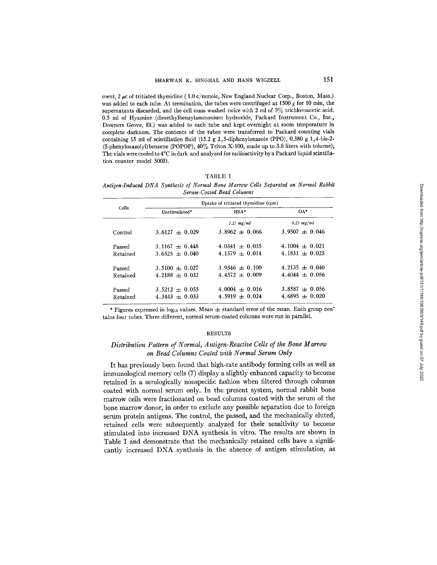ment,  $2 \mu c$  of tritiated thymidine (1.0 c/mmole, New England Nuclear Corp., Boston, Mass.) was added to each tube. At termination, the tubes were centrifuged at 1500 g for 10 min, the supernatants discarded, and the cell mass washed twice with  $2$  ml of  $5\%$  trichloroacetic acid. 0.5 ml of Hyamine (dimethylbenzylammonium hydroxide, Packard Instrument Co., Inc., Downers Grove, IlL) was added to each tube and kept overnight at room temperature in complete darkness. The contents of the tubes were transferred to Packard counting vials containing 15 ml of scintillation fluid (15.2 g 2,5-diphenyloxazole (PPO), 0.380 g 1,4-bis-2- (5-phenyloxazolyl)benzene (POPOP), 40% Triton X-100, made up to 3.8 liters with toluene), The vials were cooled to 4°C in dark and analyzed for radioactivity by a Packard liquid scintillation counter model 500D.

| TABLE |  |  |
|-------|--|--|
|       |  |  |

*Antigen-Induced DNA Synthesis of Normal Bone Marrow Cells Separated on Normal Rabbit Serum-Coated Bead Columns* 

|          |                    | Uptake of tritiated thymidine (cpm) |                    |
|----------|--------------------|-------------------------------------|--------------------|
| Cells    | Unstimulated*      | $_{\rm HSA^*}$                      | $OA*$              |
|          |                    | $1.25$ mg/ml                        | $0.25$ mg/ml       |
| Control  | $3.6127 \pm 0.029$ | $3.8962 + 0.066$                    | $3.9507 \pm 0.046$ |
| Passed   | $3.1167 \pm 0.448$ | $4.0341 + 0.035$                    | $4.1004 \pm 0.021$ |
| Retained | $3.6525 + 0.040$   | $4.1579 + 0.014$                    | $4.1831 + 0.025$   |
| Passed   | $3.5100 \pm 0.027$ | $3.9346 \pm 0.100$                  | $4.2135 \pm 0.040$ |
| Retained | $4.2188 + 0.032$   | $4.4572 + 0.009$                    | $4.4044 \pm 0.056$ |
| Passed   | $3.5212 \pm 0.055$ | $4.0004 + 0.016$                    | $3.8587 + 0.056$   |
| Retained | $4.3443 + 0.033$   | $4.5919 + 0.024$                    | $4.6895 \pm 0.020$ |

\* Figures expressed in log<sub>10</sub> values. Mean  $\pm$  standard error of the mean. Each group con<sup>-</sup> tains four tubes. Three different, normal serum-coated columns were run in parallel.

#### RESULTS

## *Distribution Pattern of Normal, Antigen-Reactive Cells of the Bone Marrow on Bead Columns Coated with Normal Serum Only*

It has previously been found that high-rate antibody forming cells as well as immunological memory cells (7) display a slightly enhanced capacity to become retained in a serologically nonspecific fashion when filtered through columns coated with normal serum only. In the present system, normal rabbit bone marrow cells were fractionated on bead columns coated with the serum of the bone marrow donor, in order to exclude any possible separation due to foreign serum protein antigens. The control, the passed, and the mechanically eluted, retained cells were subsequently analyzed for their sensitivity to become stimulated into increased DNA synthesis in vitro. The results are shown in Table I and demonstrate that the mechanically retained cells have a significantly increased DNA synthesis in the absence of antigen stimulation, as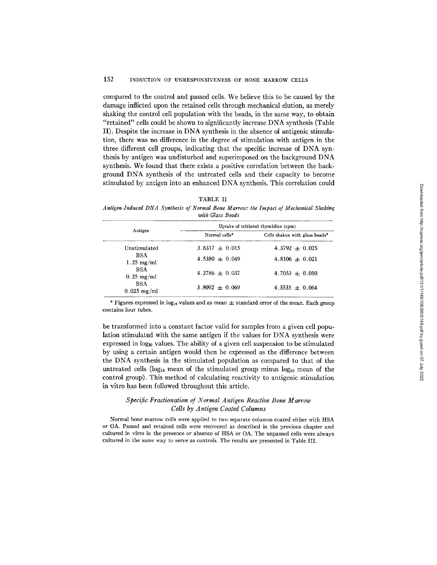## 152 INDUCTION OF UNRESPONSIVENESS OF BONE MARROW CELLS

compared to the control and passed cells. We believe this to be caused by the damage inflicted upon the retained cells through mechanical elution, as merely shaking the control cell population with the beads, in the same way, to obtain "retained" cells could be shown to significantly increase DNA synthesis (Table II). Despite the increase in DNA synthesis in the absence of antigenic stimulation, there was no difference in the degree of stimulation with antigen in the three different cell groups, indicating that the specific increase of DNA synthesis by antigen was undisturbed and superimposed on the background DNA synthesis. We found that there exists a positive correlation between the background DNA synthesis of the untreated cells and their capacity to become stimulated by antigen into an enhanced DNA synthesis. This correlation could

| T<br>.B |  |
|---------|--|
|---------|--|

*Antigen-Induced DNA Synthesis of Normal Bone Marrow: the Impact of Mechanical Shaking with Glass Beads* 

|                             |                    | Uptake of tritiated thymidine (cpm) |
|-----------------------------|--------------------|-------------------------------------|
| Antigen                     | Normal cells*      | Cells shaken with glass beads*      |
| Unstimulated                | $3.8317 \pm 0.015$ | $4.3792 + 0.025$                    |
| BSA<br>$1.25 \text{ mg/ml}$ | $4.5380 \pm 0.049$ | $4.8106 \pm 0.021$                  |
| <b>BSA</b><br>$0.25$ mg/ml  | $4.2786 \pm 0.037$ | $4.7053 \pm 0.010$                  |
| BSA<br>$0.025$ mg/ml        | $3.8092 \pm 0.069$ | $4.5535 + 0.064$                    |

\* Figures expressed in log<sub>10</sub> values and as mean  $\pm$  standard error of the mean. Each group contains four tubes.

be transformed into a constant factor valid for samples from a given cell population stimulated with the same antigen if the values for DNA synthesis were expressed in  $log_{10}$  values. The ability of a given cell suspension to be stimulated by using a certain antigen would then be expressed as the difference between the DNA synthesis in the stimulated population as compared to that of the untreated cells ( $log_{10}$  mean of the stimulated group minus  $log_{10}$  mean of the control group). This method of calculating reactivity to antigenic stimulation in vitro has been followed throughout this article.

## *Specific Fractionation of Normal Antigen Reactive Bone Marrow Cells by Antigen Coated Columns*

Normal bone marrow cells were applied to two separate columns coated either with HSA or OA. Passed and retained cells were recovered as described in the previous chapter and cultured in vitro in the presence or absence of HSA or OA. The unpassed cells were always cultured in the same way to serve as controls. The results are presented in Table III.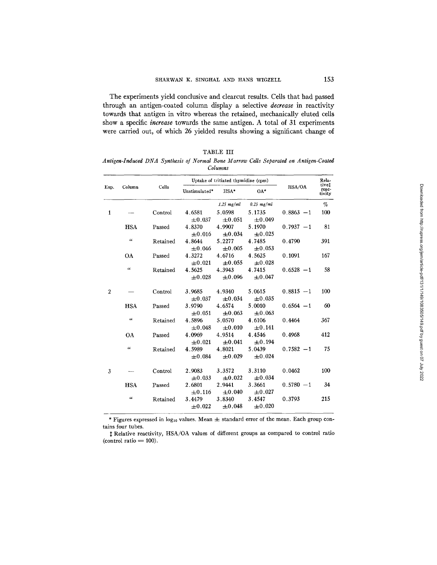The experiments yield conclusive and clearcut results. Cells that had passed through an antigen-coated column display a selective *decrease* in reactivity towards that antigen in vitro whereas the retained, mechanically elated cells show a specific *increase* towards the same antigen. A total of 31 experiments were carried out, of which 26 yielded results showing a significant change of

| TABLE III |  |
|-----------|--|
|           |  |

*Antigen-Induced DNA Synthesis of Normal Bone Marrow Cells Separated on Antigen-Coated Columns* 

|                  |                |          |               | Uptake of tritiated thymidine (cpm) |              |              | Rela-<br>tivet  |
|------------------|----------------|----------|---------------|-------------------------------------|--------------|--------------|-----------------|
| Exp.             | Column         | Cells    | Unstimulated* | HSA*                                | $OA*$        | HSA/OA       | reac-<br>tivity |
|                  |                |          |               | $1.25$ mg/ml                        | $0.25$ mg/ml |              | $\%$            |
| $\mathbf{1}$     |                | Control  | 4.6581        | 5.0598                              | 5.1735       | $0.8863 - 1$ | 100             |
|                  |                |          | $\pm 0.037$   | ±0.051                              | ±0.049       |              |                 |
|                  | <b>HSA</b>     | Passed   | 4.8370        | 4.9907                              | 5.1970       | $0.7937 - 1$ | 81              |
|                  |                |          | ±0.016        | $\pm 0.034$                         | $\pm 0.025$  |              |                 |
|                  | $\zeta\,\zeta$ | Retained | 4.8644        | 5.2277                              | 4.7485       | 0.4790       | 391             |
|                  |                |          | $\pm 0.046$   | $\pm 0.005$                         | $\pm 0.053$  |              |                 |
|                  | <b>OA</b>      | Passed   | 4.3272        | 4.6716                              | 4.5625       | 0.1091       | 167             |
|                  |                |          | $\pm 0.021$   | $\pm 0.055$                         | $\pm 0.028$  |              |                 |
|                  | $\epsilon$     | Retained | 4.5625        | 4.3943                              | 4.7415       | $0.6528 - 1$ | 58              |
|                  |                |          | $\pm 0.028$   | ±0.096                              | $\pm 0.047$  |              |                 |
| $\boldsymbol{2}$ |                | Control  | 3.9685        | 4.9340                              | 5.0615       | $0.8815 - 1$ | 100             |
|                  |                |          | $\pm 0.037$   | $\pm 0.034$                         | $\pm 0.035$  |              |                 |
|                  | <b>HSA</b>     | Passed   | 3.9790        | 4.6574                              | 5.0010       | $0.6564 - 1$ | 60              |
|                  |                |          | ±0.051        | ±0.063                              | $\pm 0.063$  |              |                 |
|                  | $\epsilon$     | Retained | 4.5896        | 5.0570                              | 4.6106       | 0.4464       | 367             |
|                  |                |          | $\pm 0.048$   | $\pm 0.010$                         | ±0.141       |              |                 |
|                  | <b>OA</b>      | Passed   | 4.0969        | 4.9514                              | 4.4546       | 0.4968       | 412             |
|                  |                |          | ±0.021        | $\pm 0.041$                         | $\pm 0.194$  |              |                 |
|                  | $\mathcal{U}$  | Retained | 4.5989        | 4.8021                              | 5.0439       | $0.7582 - 1$ | 75              |
|                  |                |          | ±0.084        | $\pm 0.029$                         | ±0.024       |              |                 |
| 3                |                | Control  | 2.9083        | 3.3572                              | 3.3110       | 0.0462       | 100             |
|                  |                |          | $\pm 0.033$   | $\pm 0.022$                         | $\pm 0.034$  |              |                 |
|                  | <b>HSA</b>     | Passed   | 2.6801        | 2.9441                              | 3.3661       | $0.5780 - 1$ | 34              |
|                  |                |          | $\pm 0.116$   | ±0.040                              | $\pm 0.027$  |              |                 |
|                  | $\zeta\,\zeta$ | Retained | 3.4479        | 3.8340                              | 3.4547       | 0.3793       | 215             |
|                  |                |          | $\pm 0.022$   | ±0.048                              | ±0.020       |              |                 |
|                  |                |          |               |                                     |              |              |                 |

\* Figures expressed in  $log_{10}$  values. Mean  $\pm$  standard error of the mean. Each group contains four tubes.

:~ Relative reactivity, HSA/OA values of different groups as compared to control ratio  $\langle$  control ratio  $= 100$ ).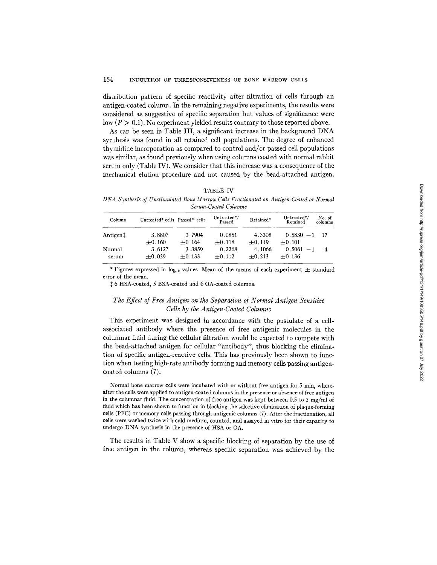distribution pattern of specific reactivity after filtration of cells through an antigen-coated column. In the remaining negative experiments, the results were considered as suggestive of specific separation but values of significance were low  $(P > 0.1)$ . No experiment yielded results contrary to those reported above.

As can be seen in Table III, a significant increase in the background DNA synthesis was found in all retained cell populations. The degree of enhanced thymidine incorporation as compared to control and/or passed cell populations was similar, as found previously when using columns coated with normal rabbit serum only (Table IV). We consider that this increase was a consequence of the mechanical elution procedure and not caused by the bead-attached antigen.

## TABLE IV

DNA Synthesis of Unstimulated Bone Marrow Cells Fractionated on Antigen-Coated or Normal *Serum-Coated Columns* 

| Column               | Untreated* cells Passed* cells |             | Untreated*/<br>Passed | Retained* | Untreated*/<br>Retained | No. of<br>columns |
|----------------------|--------------------------------|-------------|-----------------------|-----------|-------------------------|-------------------|
| Antigen <sup>†</sup> | 3.8807                         | 3.7904      | 0.0851                | 4.3308    | $0.5830 - 1$            | -17               |
|                      | $\pm 0.160$                    | $\pm 0.164$ | $\pm 0.118$           | $+0.119$  | $\pm 0.101$             |                   |
| Normal               | 3.6127                         | 3.3859      | 0.2268                | 4.1066    | $0.5061 - 1$            | $\overline{4}$    |
| serum                | $+0.029$                       | $\pm 0.133$ | $+0.112$              | $+0.213$  | $+0.136$                |                   |

\* Figures expressed in  $log_{10}$  values. Mean of the means of each experiment  $\pm$  standard error of the mean.

 $\ddagger$  6 HSA-coated, 5 BSA-coated and 6 OA-coated columns.

## *The Effect of Free Antigen on the Separation of Normal Antigen-Sensitive Cells by the Antigen-Coated Columns*

This experiment was designed in accordance with the postulate of a cellassociated antibody where the presence of free antigenic molecules in the columnar fluid during the cellular filtration would be expected to compete with the bead-attached antigen for cellular *"antibody",* thus blocking the elimination of specific antigen-reactive cells. This has previously been shown to function when testing high-rate antibody-forming and memory cells passing antigencoated columns (7).

Normal bone marrow cells were incubated with or without free antigen for 5 min, whereafter the cells were applied to antigen-coated columns in the presence or absence of free antigen in the columnar fluid. The concentration of free antigen was kept between 0.5 to 2 mg/ml of fluid which has been shown to function in blocking the selective elimination of plaque-forming cells (PFC) or memory cells passing through antigenic columns (7). After the fractionation, all cells were washed twice with cold medium, counted, and assayed in vitro for their capacity to undergo DNA synthesis in the presence of HSA or OA.

The results in Table V show a specific blocking of separation by the use of free antigen in the column, whereas specific separation was achieved by the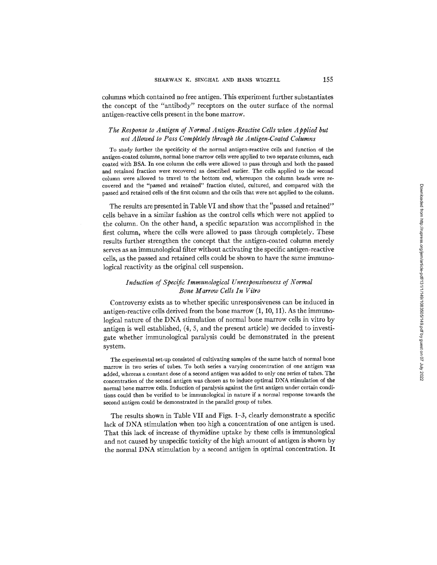columns which contained no free antigen. This experiment further substantiates the concept of the "antibody" receptors on the outer surface of the normal antigen-reactive cells present in the bone marrow.

## *The Response to Antigen of Normal Antigen-Reactive Cells when Applied but not Allowed to Pass Completely through the Antigen-Coated Columns*

To study further the specificity of the normal antigen-reactive cells and function of the antigen-coated columns, normal bone marrow cells were applied to two separate columns, each coated with BSA. In one column the cells were allowed to pass through and both the passed and retained fraction were recovered as described earlier. The cells applied to the second column were allowed to travel to the bottom end, whereupon the column beads were recovered and the "passed and retained" fraction eluted, cultured, and compared with the passed and retained cells of the first column and the cells that were not applied to the column.

The results are presented in Table VI and show that the "passed and retained" cells behave in a similar fashion as the control cells which were not applied to the column. On the other hand, a specific separation was accomplished in the first column, where the cells were allowed to pass through completely. These results further strengthen the concept that the antigen-coated column merely serves as an immunological filter without activating the specific antigen-reactive cells, as the passed and retained cells could be shown to have the same immunological reactivity as the original cell suspension.

## *Induction of Specific Immunological Unresponsiveness of Normal Bone Marrow Cells In Vitro*

Controversy exists as to whether specific unresponsiveness can be induced in antigen-reactive cells derived from the bone marrow (1, 10, 11). As the immunological nature of the DNA stimulation of normal bone marrow cells in vitro by antigen is well established, (4, 5, and the present article) we decided to investigate whether immunological paralysis could be demonstrated in the present system.

The experimental set-up consisted of cultivating samples of the same batch of normal bone marrow in two series of tubes. To both series a varying concentration of one antigen was added, whereas a constant dose of a second antigen was added to only one series of tubes. The concentration of the second antigen was chosen as to induce optimal DNA stimulation of the normal bone marrow cells. Induction of paralysis against the first antigen under certain conditions could then be verified to be immunological in nature if a normal response towards the second antigen could be demonstrated in the parallel group of tubes.

The results shown in Table VII and Figs. 1-3, clearly demonstrate a specific lack of DNA stimulation when too high a concentration of one antigen is used. That this lack of increase of thymidine uptake by these cells is immunological and not caused by unspecific toxicity of the high amount of antigen is shown by the normal DNA stimulation by a second antigen in optimal concentration. It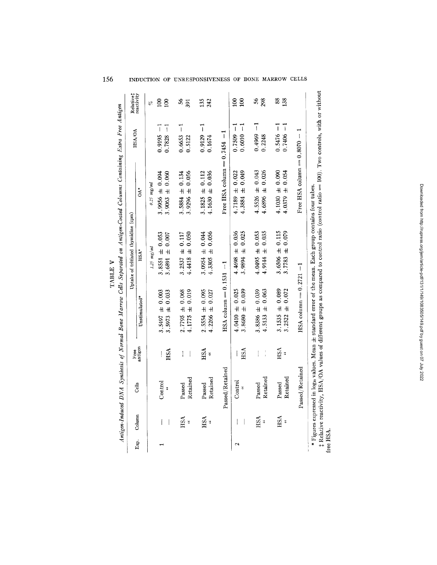|        |        |                 | Free                     |                               | Uptake of tritiated thymidine (cpm) |                                  | <b>HSA/OA</b>            | Relativet      |
|--------|--------|-----------------|--------------------------|-------------------------------|-------------------------------------|----------------------------------|--------------------------|----------------|
| Ēxp.   | Column | Cells           | antigen                  | Unstimulated*                 | HSA*                                | $M^*$                            |                          | reactivity     |
|        |        |                 |                          |                               | $1.25$ $mg/ml$                      | $0.25$ $mg/ml$                   |                          | P,             |
|        | Ì      | Control         | ł                        | 3.5497 $\pm$ 0.003            | $3.8551 \pm 0.053$                  | $3.9956 \pm 0.094$               | ī<br>0.9195              | $\overline{5}$ |
|        | I      | $\ddot{ }$      | HSA                      | 0.033<br>$\ddot{+}$<br>3.5973 | $3.6891 \pm 0.007$                  | $3.9063 \pm 0.060$               | ī<br>0.7828              | $\frac{8}{2}$  |
|        | HSA    | Passed          | I                        | $+ 0.068$<br>2.7795           | $\pm$ 0.117<br>3.2537               | $3.5884 \pm 0.134$               | $\vec{1}$<br>0.6653      | S,             |
|        | ă      | Retained        | $\overline{\phantom{a}}$ | $4.1775 \pm 0.019$            | 0.050<br>$\ddot{+}$<br>4.4418       | $\pm 0.056$<br>3.9296            | 0.5122                   | 391            |
|        | HSA    | Passed          | HSA                      | $2.5554 \pm 0.095$            | 0.044<br>$\overline{+}$<br>3.0954   | $\pm 0.112$<br>3.1825            | ī<br>0.9129              | 135            |
|        | ¥      | Retained        | $\ddot{ }$               | $\pm$ 0.027<br>4.2266         | 0.056<br>$\ddot{+}$<br>4.3305       | ± 0.036<br>4.1630                | 0.1674                   | 242            |
|        |        | Passed/Retained |                          | $HSA$ column = $0.1531$       | $\vec{a}$                           | Free HSA column $= 0.7454$       | $\vec{1}$                |                |
| $\sim$ |        | Control         |                          | $4.0410 \pm 0.025$            | 0.036<br>$\ddot{+}$<br>4.4698       | $\pm 0.022$<br>4.7189            | Ì.<br>0.7509             | $\frac{8}{2}$  |
|        |        | $\ddot{ }$      | HSA                      | $+0.039$<br>3.8680            | 0.025<br>$3.9894 \pm$               | $4.3884 \pm 0.049$               | $-10.6010 - 1$           | $\overline{2}$ |
|        | HSA    | Passed          | I                        | $= 0.039$<br>3.8386           | $\pm 0.053$<br>4.0495               | $4.5526 \pm 0.043$               | $\overline{1}$<br>0.4969 | S6             |
|        | ă      | Retained        | $\frac{1}{4}$            | ± 0.063<br>4.5133             | 0.035<br>$4.9144 \pm$               | 0.026<br>$\frac{1}{1}$<br>4.6896 | 0.2248                   | 298            |
|        | HSA    | Passed          | HSA                      | 3.1535 $\pm$ 0.089            | $3.6506 \pm 0.115$                  | $4.1030 \pm 0.090$               | $0.5476 -$               | 88             |
|        | ¥      | Retained        | ¥                        | ± 0.072<br>3.2522             | 0.079<br>$\overline{+}$<br>3.7783   | ± 0.054<br>4.0379                | T<br>0.7406              | 138            |
|        |        | Passed/Retained |                          | $HSA$ column $= 0.2721 - 1$   |                                     | Free HSA column $= 0.8070$ -     |                          |                |

~>

TABLE  ${\bf V}$ 

# 156 INDUCTION OF UNRESPONSIVENESS OF BONE MARROW CELLS

Downloaded from http://rupress.org/jem/article-pdf/131/1/149/1083505/149.pdf by guest on 07 July 2022 Downloaded from http://rupress.org/jem/article-pdf/131/1/149/1083505/149.pdf by guest on 07 July 2022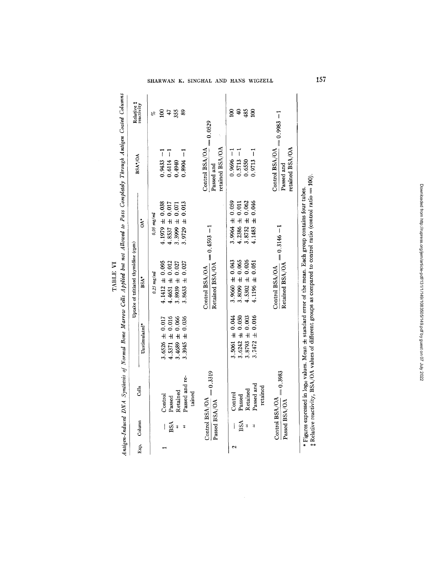|      |                                                                                                                                                                                                                                     |                       | Uptake of tritiated thymidine (cpm) |                                   | BSA*/OA                       | Relative <sup>†</sup><br>reactivity |
|------|-------------------------------------------------------------------------------------------------------------------------------------------------------------------------------------------------------------------------------------|-----------------------|-------------------------------------|-----------------------------------|-------------------------------|-------------------------------------|
| Exp. | Cells<br>Column                                                                                                                                                                                                                     | Unstimulated*         | BSA <sup>*</sup>                    | $\ddot{s}$                        |                               |                                     |
|      |                                                                                                                                                                                                                                     |                       | $0.25$ mg/ml                        | $0.05$ mg/ml                      |                               | P6                                  |
|      | Control                                                                                                                                                                                                                             | $3.6526 \pm 0.017$    | $4.1412 \pm 0.095$                  | 4.1979 $\pm$ 0.038                | $\vec{v}$<br>0.9433           | $\overline{8}$                      |
|      | Passed<br>BSA                                                                                                                                                                                                                       | $4.5371 \pm 0.016$    | $4.4651 \pm 0.012$                  | $4.8537 \pm 0.017$                | T<br>0.6114                   | $47$<br>355                         |
|      | Retained<br>$\ddot{ }$                                                                                                                                                                                                              | 0.066<br>$3.4689 +$   | 3.8939 $\pm$ 0.027                  | 3.3999 $\pm$ 0.071                | 0.4940                        |                                     |
|      | Passed and re-<br>$t$ ained<br>$\ddot{ }$                                                                                                                                                                                           | 0.036<br>$3.3945 \pm$ | $3.8633 \pm 0.027$                  | 3.9729 $\pm$ 0.013                | T<br>0.8904                   | 89                                  |
|      | $= 0.3319$<br>Control BSA/OA                                                                                                                                                                                                        |                       | Retained BSA/OA<br>Control BSA/OA   | $= 0.4593 - 1$                    | Control BSA/OA<br>Passed and  | $= 0.0529$                          |
|      | Passed BSA/OA                                                                                                                                                                                                                       |                       |                                     |                                   | retained BSA/OA               |                                     |
|      | $_{\rm Control}$                                                                                                                                                                                                                    | ± 0.044<br>3.5061     | $3.9660 \pm 0.043$                  | ± 0.059<br>3.9964                 | ī<br>0.9696                   | $\overline{8}$                      |
|      | Passed<br>BSA                                                                                                                                                                                                                       | $3.6242 \pm 0.050$    | $3.8099 \pm 0.065$                  | $4.2386 \pm 0.011$                | ī<br>0.5713                   | Ş                                   |
|      | Retained<br>¥                                                                                                                                                                                                                       | $\pm 0.003$<br>3.8793 | $4.5302 \pm 0.026$                  | ± 0.062<br>3.8752                 | 0.6550                        | 485                                 |
|      | Passed and<br>$\ddot{ }$                                                                                                                                                                                                            | ± 0.016<br>3.7472     | $4.1196 \pm 0.051$                  | 0.046<br>$\overline{+}$<br>4.1483 | $\vec{1}$<br>0.9713           | $\frac{8}{2}$                       |
|      | retained                                                                                                                                                                                                                            |                       |                                     |                                   |                               |                                     |
|      | Control BSA/OA                                                                                                                                                                                                                      |                       | Control BSA/OA                      | $= 0.3146 - 1$                    | Control BSA/OA                | $-0.9983 - 1$                       |
|      | $= 0.3983$<br>Passed BSA/OA                                                                                                                                                                                                         |                       | Retained BSA/OA                     |                                   | retained BSA/OA<br>Passed and |                                     |
|      | t Relative reactivity, BSA/OA values of different groups as compared to control ratio (control ratio = 100).<br>* Figures expressed in log <sub>10</sub> values. Mean ± standard error of the mean. Each group contains four tubes. |                       |                                     |                                   |                               |                                     |

 $\mathcal{L}^3$  $\lvert e_i \rvert$ TABLE VI

# SHARWAN K. SINGHAL AND HANS WIGZELL 157

Downloaded from http://rupress.org/jem/article-pdf/131/1/149/1083505/149.pdf by guest on 07 July 2022 Downloaded from http://rupress.org/jem/article-pdf/131/1/149/1083505/149.pdf by guest on 07 July 2022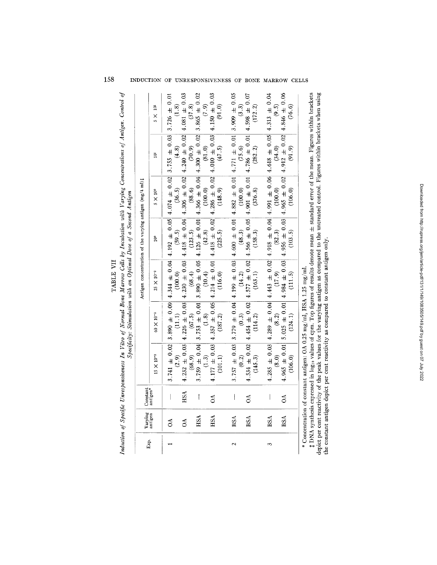|      |                    |                                                                                                                     |                                                                               | Specificity: Stimulation with an Optimal Dose of a Second Antigen                                                                                                                       |                     |                                                          |                 |            |                         |
|------|--------------------|---------------------------------------------------------------------------------------------------------------------|-------------------------------------------------------------------------------|-----------------------------------------------------------------------------------------------------------------------------------------------------------------------------------------|---------------------|----------------------------------------------------------|-----------------|------------|-------------------------|
| Exp. | Varying<br>antigen | $\begin{array}{ c c }\n\hline\n\text{Constant} & \text{and} \\ \text{antigen*} & \text{and} \\ \hline\n\end{array}$ |                                                                               |                                                                                                                                                                                         |                     | Antigen concentration of the varying antigen (mg/4 ml) t |                 |            |                         |
|      |                    |                                                                                                                     | $15 \times 10^{-3}$                                                           | $60 \times 10^{-3}$                                                                                                                                                                     | $25 \times 10^{-2}$ | $\frac{6}{100}$                                          | $5 \times 10^6$ | $\ddot{a}$ | $5 \times 10^1$         |
|      | $\delta$           |                                                                                                                     | $\widetilde{c}$                                                               | $3.741 \pm 0.02 \mid 3.890 \pm 0.09 \mid 4.344 \pm 0.04 \mid 4.192 \pm 0.05 \mid 4.074 \pm 0.02 \mid 3.755 \pm 0.03 \mid 3.726 \pm 0.01$<br>(11.1)                                      | (100.0)             | (59.5)                                                   | (36.5)          | (4.8)      | $\overset{3}{\text{d}}$ |
|      | á                  | HSA                                                                                                                 | (68.9)                                                                        | $4.332 \pm 0.03$   $4.226 \pm 0.03$   $4.230 \pm 0.03$   $4.418 \pm 0.04$   $4.306 \pm 0.02$   $4.240 \pm 0.02$   $4.081 \pm 0.03$<br>(67.5)                                            | (68.4)              | (123.5)                                                  | (88.6)          | (70.9)     | (37.8)                  |
|      | HSA                |                                                                                                                     |                                                                               | 3.759 ± 0.04 3.753 ± 0.01 3.890 ± 0.05 4.126 ± 0.01 4.366 ± 0.04 4.300 ± 0.02 3.865 ± 0.02<br>(1.8)                                                                                     | (10.4)              | (42.8)                                                   | (100.0)         | (81.0)     | $\widetilde{C}$         |
|      | <b>HSA</b>         | $\delta$                                                                                                            | (101.1)                                                                       | 4.177 ± 0.03  4.357 ± 0.05  4.214 ± 0.01  4.418 ± 0.02  4.286 ± 0.02  4.010 ± 0.03  4.150 ± 0.03<br>(187.2)                                                                             | (116.0)             | (225.5)                                                  | (148.9)         | (47.5)     | (91.0)                  |
|      | BSA                | I                                                                                                                   | $\begin{pmatrix} 0.2 \end{pmatrix}$                                           | $3.757 \pm 0.03$ [ $3.779 \pm 0.04$ ] $4.900 \pm 0.00$ [ $4.882 \pm 0.01$ $4.771 \pm 0.01$ [ $3.909 \pm 0.05$<br>$0.65 \pm 0.01$<br>$\begin{smallmatrix} (0,3) \ 0,3 \end{smallmatrix}$ | (14.2)              | (48.3)                                                   | (100.0)         | (75.6)     | $\binom{3}{3}$          |
|      | <b>BSA</b>         | $\delta$                                                                                                            | (145.3)                                                                       | 4.534 ± 0.02 4.544 ± 0.02 4.577 ± 0.02 4.566 ± 0.05 4.901 ± 0.01 4.786 ± 0.01 4.598 ± 0.07<br><br>(114.2)                                                                               | (163.1)             | (158.3)                                                  | (376.8)         | (282.2)    | (172.2)                 |
| 3    | BSA                | I                                                                                                                   | $\frac{6}{8}$                                                                 | $+0.285 \pm 0.03 + 289 \pm 0.04 + 443 \pm 0.03 + 2918 + 0.04 + 991 \pm 0.05 + 813 + 0.04 + 0.05$<br>(8.2)                                                                               | (17.9)              | (82.3)                                                   | (100.0)         | (34.0)     | $\overline{6}$ .        |
|      | <b>BSA</b>         | $\delta$                                                                                                            | (106.0)                                                                       | $4.965 \pm 0.01$ 5.025 $\pm$ 0.01 4.984 $\pm$ 0.03 4.956 $\pm$ 0.03 4.965 $\pm$ 0.02 4.970 $\pm$ 0.00 $\pm$ 0.06<br>(124.1)                                                             | (111.5)             | (103.5)                                                  | (106.0)         | (61.9)     | (76.6)                  |
|      |                    |                                                                                                                     | * Concentration of constant antigen: $OA\ 0.25\ mg/ml$ , $HSA\ 1.25\ mg/ml$ . |                                                                                                                                                                                         |                     |                                                          |                 |            |                         |

**~3**  ~0 TABLE VII le

o  $\Xi^-$ **-c ~s** 

# 158 INDUCTION OF UNRESPONSIVENESS OF BONE MARROW CELLS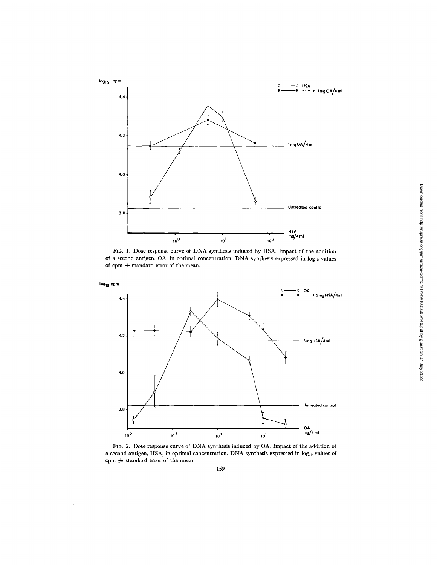

FIG. 1. Dose response curve of DNA synthesis induced by HSA. Impact of the addition of a second antigen, OA, in optimal concentration. DNA synthesis expressed in  $log_{10}$  values of cpm  $\pm$  standard error of the mean.



Fro. 2. Dose response curve of DNA synthesis induced by OA. Impact of the addition of a second antigen, HSA, in optimal concentration. DNA synthesis expressed in  $log_{10}$  values of  $\mathtt{cpm}$   $\pm$  standard error of the mean.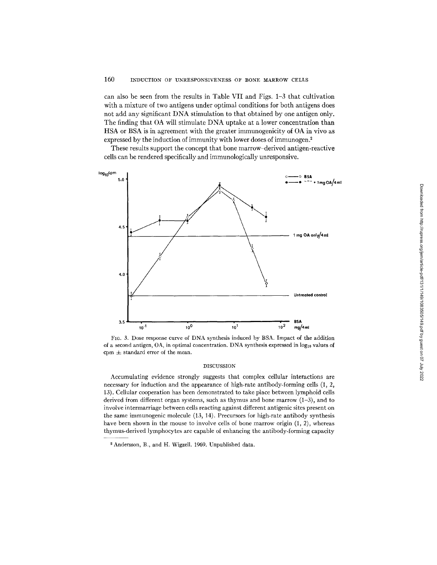## 160 INDUCTION OF UNRESPONSIVENESS OF BONE MARROW CELLS

can also be seen from the results in Table VII and Figs. 1-3 that cultivation with a mixture of two antigens under optimal conditions for both antigens does not add any significant DNA stimulation to that obtained by one antigen only. The finding that OA will stimulate DNA uptake at a lower concentration than HSA or BSA is in agreement with the greater immunogenicity of OA in vivo as expressed by the induction of immunity with lower doses of immunogen.<sup>2</sup>

These results support the concept that bone marrow~derived antigen-reactive cells can be rendered specifically and immunologically unresponsive.



FIG. 3. Dose response curve of DNA synthesis induced by BSA. Impact of the addition of a second antigen, OA, in optimal concentration. DNA synthesis expressed in  $log_{10}$  values of  $cpm \pm standard$  error of the mean.

## DISCUSSION

Accumulating evidence strongly suggests that complex cellular interactions are necessary for induction and the appearance of high-rate antibody-forming cells (1, 2, 13). Cellular cooperation has been demonstrated to take place between lymphoid cells derived from different organ systems, such as thymus and bone marrow  $(1-3)$ , and to involve intermarriage between cells reacting against different antigenic sites present on the same immunogenic molecule (13, 14). Precursors for high-rate antibody synthesis have been shown in the mouse to involve cells of bone marrow origin (1, 2), whereas thymus-derived lymphocytes are capable of enhancing the antibody-forming capacity

<sup>2</sup> Andersson, B., and H. Wigzell. 1969. Unpublished data.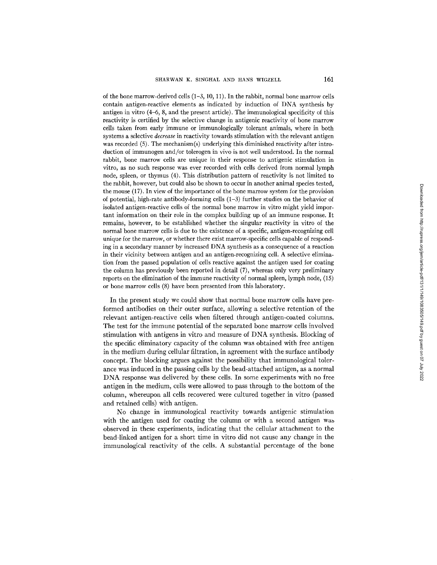of the bone marrow-derived cells (1-3, 10, 11). In the rabbit, normal bone marrow cells contain antigen-reactive elements as indicated by induction of DNA synthesis by antigen in vitro (4-6, 8, and the present article). The immunological specificity of this reactivity is certified by the selective change in antigenic reactivity of bone marrow cells taken from early immune or immunologically tolerant animals, where in both systems a selective *decrease* in reactivity towards stimulation with the relevant antigen was recorded (5). The mechanism(s) underlying this diminished reactivity after introduction of immunogen and/or tolerogen in vivo is not well understood. In the normal rabbit, bone marrow cells are unique in their response to antigenic stimulation in vitro, as no such response was ever recorded with cells derived from normal lymph node, spleen, or thymus (4). This distribution pattern of reactivity is not limited to the rabbit, however, but could also be shown to occur in another animal species tested, the mouse (17). In view of the importance of the bone marrow system for the provision of potential, high-rate antibody-forming cells (1-3) further studies on the behavior of isolated antigen-reactive cells of the normal bone marrow in vitro might yield important information on their role in the complex building up of an immune response. It remains, however, to be established whether the singular reactivity in vitro of the normal bone marrow cells is due to the existence of a specific, antigen-recognizing cell unique for the marrow, or whether there exist marrow-specific cells capable of responding in a secondary manner by increased DNA synthesis as a consequence of a reaction in their vicinity between antigen and an antigen-recognizing cell. A selective elimination from the passed population of cells reactive against the antigen used for coating the column has previously been reported in detail (7), whereas only very preliminary reports on the elimination of the immune reactivity of normal spleen, lymph node, (15) or bone marrow cells (8) have been presented from this laboratory.

In the present study we could show that normal bone marrow cells have preformed antibodies on their outer surface, allowing a selective retention of the relevant antigen-reactive cells when filtered through antigen-coated columns. The test for the immune potential of the separated bone marrow cells involved stimulation with antigens in vitro and measure of DNA synthesis. Blocking of the specific eliminatory capacity of the column was obtained with free antigen in the medium during cellular filtration, in agreement with the surface antibody concept. The blocking argues against the possibility that immunological tolerance was induced in the passing cells by the bead-attached antigen, as a normal DNA response was delivered by these cells. In some experiments with no free antigen in the medium, cells were allowed to pass through to the bottom of the column, whereupon all cells recovered were cultured together in vitro (passed and retained cells) with antigen.

No change in immunological reactivity towards antigenic stimulation with the antigen used for coating the column or with a second antigen was observed in these experiments, indicating that the cellular attachment to the bead-linked antigen for a short time in vitro did not cause any change in the immunological reactivity of the cells. A substantial percentage of the bone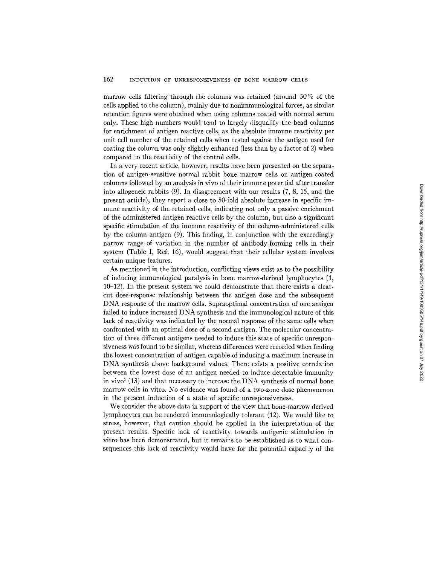marrow cells filtering through the columns was retained (around  $50\%$  of the cells applied to the column), mainly due to nonimmunological forces, as similar retention figures were obtained when using columns coated with normal serum only. These high numbers would tend to largely disqualify the bead columns for enrichment of antigen reactive cells, as the absolute immune reactivity per unit cell number of the retained cells when tested against the antigen used for coating the column was only slightly enhanced (less than by a factor of 2) when compared to the reactivity of the control cells.

In a very recent article, however, results have been presented on the separation of antigen-sensitive normal rabbit bone marrow cells on antigen-coated columns followed by an analysis in vivo of their immune potential after transfer into allogeneic rabbits (9). In disagreement with our results (7, 8, 15, and the present article), they report a close to 50-fold absolute increase in specific immune reactivity of the retained cells, indicating not only a passive enrichment of the administered antigen-reactive cells by the column, but also a significant specific stimulation of the immune reactivity of the column-administered cells by the column antigen (9). This finding, in conjunction with the exceedingly narrow range of variation in the number of antibody-forming cells in their system (Table I, Ref. 16), would suggest that their cellular system involves certain unique features.

As mentioned in the introduction, conflicting views exist as to the possibility of inducing immunological paralysis in bone marrow-derived lymphocytes (1, 10-12). In the present system we could demonstrate that there exists a clearcut dose-response relationship between the antigen dose and the subsequent DNA response of the marrow cells. Supraoptimal concentration of one antigen failed to induce increased DNA synthesis and the immunological nature of this lack of reactivity was indicated by the normal response of the same cells when confronted with an optimal dose of a second antigen. The molecular concentration of three different antigens needed to induce this state of specific unresponsiveness was found to be similar, whereas differences were recorded when finding the lowest concentration of antigen capable of inducing a maximum increase in DNA synthesis above background values. There exists a positive correlation between the lowest dose of an antigen needed to induce detectable immunity in vivo $\degree$  (13) and that necessary to increase the DNA synthesis of normal bone marrow cells in vitro. No evidence was found of a two-zone dose phenomenon in the present induction of a state of specific unresponsiveness.

We consider the above data in support of the view that bone-marrow derived lymphocytes can be rendered immunologically tolerant (12). We would like to stress, however, that caution should be applied in the interpretation of the present results. Specific lack of reactivity towards antigenic stimulation in vitro has been demonstrated, but it remains to be established as to what consequences this lack of reactivity would have for the potential capacity of the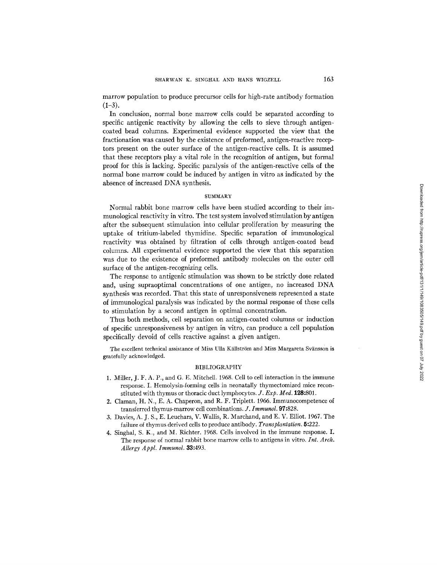marrow population to produce precursor cells for high-rate antibody formation  $(1-3)$ .

In conclusion, normal bone marrow cells could be separated according to specific antigenic reactivity by allowing the cells to sieve through antigencoated bead columns. Experimental evidence supported the view that the fractionation was caused by the existence of preformed, antigen-reactive receptors present on the outer surface of the antigen-reactive cells. It is assumed that these receptors play a vital role in the recognition of antigen, but formal proof for this is lacking. Specific paralysis of the antigen-reactive cells of the normal bone marrow could be induced by antigen in vitro as indicated by the absence of increased DNA synthesis.

## **SUMMARY**

Normal rabbit bone marrow cells have been studied according to their immunological reactivity in vitro. The test system involved stimulation by antigen after the subsequent stimulation into cellular proliferation by measuring the uptake of tritium-labeled thymidine. Specific separation of immunological reactivity was obtained by filtration of cells through antigen-coated bead columns. All experimental evidence supported the view that this separation was due to the existence of preformed antibody molecules on the outer cell surface of the antigen-recognizing cells.

The response to antigenic stimulation was shown to be strictly dose related and, using supraoptimal concentrations of one antigen, no increased DNA synthesis was recorded. That this state of unresponsiveness represented a state of immunological paralysis was indicated by the normal response of these cells to stimulation by a second antigen in optimal concentration.

Thus both methods, cell separation on antigen-coated columns or induction of specific unresponsiveness by antigen in vitro, can produce a cell population specifically devoid of cells reactive against a given antigen.

The excellent technical assistance of Miss Ulla Källström and Miss Margareta Svänsson is gratefully acknowledged.

#### BIBLIOGRAPHY

- 1. Miller, J. F. A. P., and G. E. Mitchell. 1968. Cell to cell interaction in the immune response. I. Hemolysin-forming cells in neonatally thymectomized mice reconstituted with thymus or thoracic duct lymphocytes. *J. Exp. Med.* **128:801.**
- 2. Claman, H. N., E. A. Chaperon, and R. F. Triplett. 1966. Immunocompetence of transferred thymus-marrow cell combinations. *J. Immunol.* 97:828.
- 3. Davies, A. J. S., E. Leuchars, V. Wallis, R. Marchand, and E. V. Elliot. 1967. The failure of thymus derived cells to produce antibody. *Transplantation. 5:222.*
- 4. Singhal, S. K., and M. Richter. 1968. Cells involved in the immune response. I. The response of normal rabbit bone marrow cells to antigens in vitro. *Int. Arch. Allergy A ppl. Immunol.* 33:493.